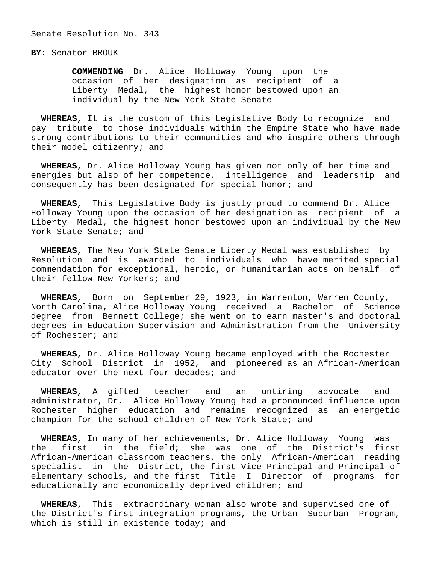## **BY:** Senator BROUK

 **COMMENDING** Dr. Alice Holloway Young upon the occasion of her designation as recipient of a Liberty Medal, the highest honor bestowed upon an individual by the New York State Senate

 **WHEREAS,** It is the custom of this Legislative Body to recognize and pay tribute to those individuals within the Empire State who have made strong contributions to their communities and who inspire others through their model citizenry; and

 **WHEREAS,** Dr. Alice Holloway Young has given not only of her time and energies but also of her competence, intelligence and leadership and consequently has been designated for special honor; and

 **WHEREAS,** This Legislative Body is justly proud to commend Dr. Alice Holloway Young upon the occasion of her designation as recipient of a Liberty Medal, the highest honor bestowed upon an individual by the New York State Senate; and

 **WHEREAS,** The New York State Senate Liberty Medal was established by Resolution and is awarded to individuals who have merited special commendation for exceptional, heroic, or humanitarian acts on behalf of their fellow New Yorkers; and

 **WHEREAS,** Born on September 29, 1923, in Warrenton, Warren County, North Carolina, Alice Holloway Young received a Bachelor of Science degree from Bennett College; she went on to earn master's and doctoral degrees in Education Supervision and Administration from the University of Rochester; and

 **WHEREAS,** Dr. Alice Holloway Young became employed with the Rochester City School District in 1952, and pioneered as an African-American educator over the next four decades; and

 **WHEREAS,** A gifted teacher and an untiring advocate and administrator, Dr. Alice Holloway Young had a pronounced influence upon Rochester higher education and remains recognized as an energetic champion for the school children of New York State; and

 **WHEREAS,** In many of her achievements, Dr. Alice Holloway Young was the first in the field; she was one of the District's first African-American classroom teachers, the only African-American reading specialist in the District, the first Vice Principal and Principal of elementary schools, and the first Title I Director of programs for educationally and economically deprived children; and

 **WHEREAS,** This extraordinary woman also wrote and supervised one of the District's first integration programs, the Urban Suburban Program, which is still in existence today; and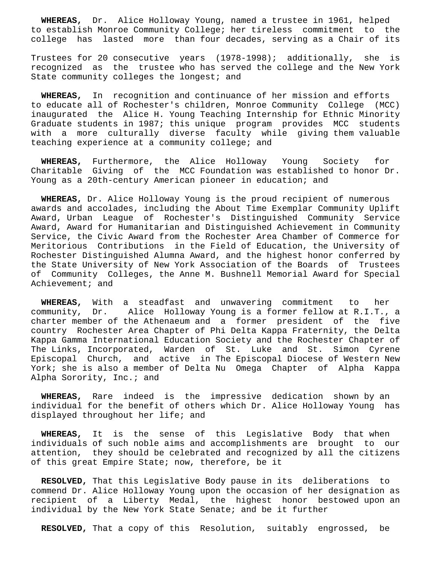**WHEREAS,** Dr. Alice Holloway Young, named a trustee in 1961, helped to establish Monroe Community College; her tireless commitment to the college has lasted more than four decades, serving as a Chair of its

Trustees for 20 consecutive years (1978-1998); additionally, she is recognized as the trustee who has served the college and the New York State community colleges the longest; and

 **WHEREAS,** In recognition and continuance of her mission and efforts to educate all of Rochester's children, Monroe Community College (MCC) inaugurated the Alice H. Young Teaching Internship for Ethnic Minority Graduate students in 1987; this unique program provides MCC students with a more culturally diverse faculty while giving them valuable teaching experience at a community college; and

 **WHEREAS,** Furthermore, the Alice Holloway Young Society for Charitable Giving of the MCC Foundation was established to honor Dr. Young as a 20th-century American pioneer in education; and

 **WHEREAS,** Dr. Alice Holloway Young is the proud recipient of numerous awards and accolades, including the About Time Exemplar Community Uplift Award, Urban League of Rochester's Distinguished Community Service Award, Award for Humanitarian and Distinguished Achievement in Community Service, the Civic Award from the Rochester Area Chamber of Commerce for Meritorious Contributions in the Field of Education, the University of Rochester Distinguished Alumna Award, and the highest honor conferred by the State University of New York Association of the Boards of Trustees of Community Colleges, the Anne M. Bushnell Memorial Award for Special Achievement; and

 **WHEREAS,** With a steadfast and unwavering commitment to her community, Dr. Alice Holloway Young is a former fellow at R.I.T., a charter member of the Athenaeum and a former president of the five country Rochester Area Chapter of Phi Delta Kappa Fraternity, the Delta Kappa Gamma International Education Society and the Rochester Chapter of The Links, Incorporated, Warden of St. Luke and St. Simon Cyrene Episcopal Church, and active in The Episcopal Diocese of Western New York; she is also a member of Delta Nu Omega Chapter of Alpha Kappa Alpha Sorority, Inc.; and

 **WHEREAS,** Rare indeed is the impressive dedication shown by an individual for the benefit of others which Dr. Alice Holloway Young has displayed throughout her life; and

 **WHEREAS,** It is the sense of this Legislative Body that when individuals of such noble aims and accomplishments are brought to our attention, they should be celebrated and recognized by all the citizens of this great Empire State; now, therefore, be it

 **RESOLVED,** That this Legislative Body pause in its deliberations to commend Dr. Alice Holloway Young upon the occasion of her designation as recipient of a Liberty Medal, the highest honor bestowed upon an individual by the New York State Senate; and be it further

**RESOLVED,** That a copy of this Resolution, suitably engrossed, be